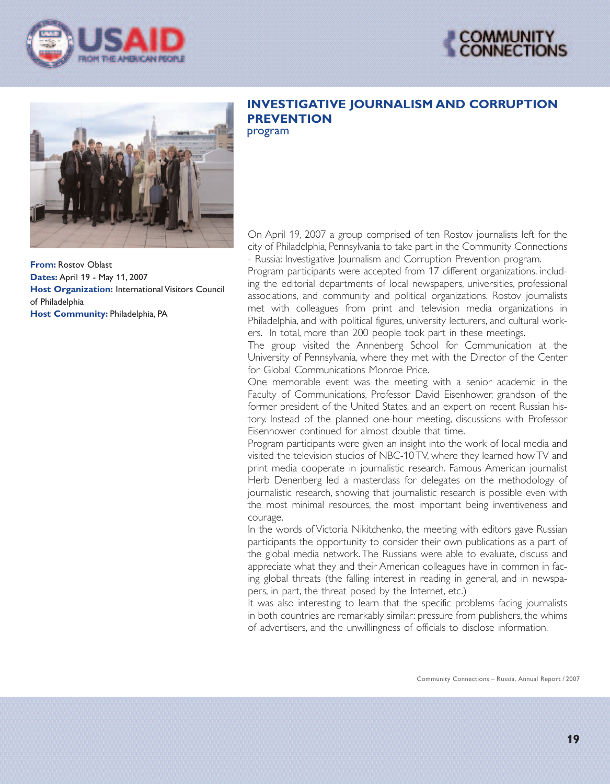





**From:** Rostov Oblast **Dates:** April 19 - May 11, 2007 **Host Organization:** International Visitors Council of Philadelphia **Host Community:** Philadelphia, PA

## **INVESTIGATIVE JOURNALISM AND CORRUPTION PREVENTION** program

On April 19, 2007 a group comprised of ten Rostov journalists left for the city of Philadelphia, Pennsylvania to take part in the Community Connections - Russia: Investigative Journalism and Corruption Prevention program.

Program participants were accepted from 17 different organizations, including the editorial departments of local newspapers, universities, professional associations, and community and political organizations. Rostov journalists met with colleagues from print and television media organizations in Philadelphia, and with political figures, university lecturers, and cultural workers. In total, more than 200 people took part in these meetings.

The group visited the Annenberg School for Communication at the University of Pennsylvania, where they met with the Director of the Center for Global Communications Monroe Price.

One memorable event was the meeting with a senior academic in the Faculty of Communications, Professor David Eisenhower, grandson of the former president of the United States, and an expert on recent Russian history. Instead of the planned one-hour meeting, discussions with Professor Eisenhower continued for almost double that time.

Program participants were given an insight into the work of local media and visited the television studios of NBC-10 TV, where they learned how TV and print media cooperate in journalistic research. Famous American journalist Herb Denenberg led a masterclass for delegates on the methodology of journalistic research, showing that journalistic research is possible even with the most minimal resources, the most important being inventiveness and courage.

In the words of Victoria Nikitchenko, the meeting with editors gave Russian participants the opportunity to consider their own publications as a part of the global media network. The Russians were able to evaluate, discuss and appreciate what they and their American colleagues have in common in facing global threats (the falling interest in reading in general, and in newspapers, in part, the threat posed by the Internet, etc.)

It was also interesting to learn that the specific problems facing journalists in both countries are remarkably similar: pressure from publishers, the whims of advertisers, and the unwillingness of officials to disclose information.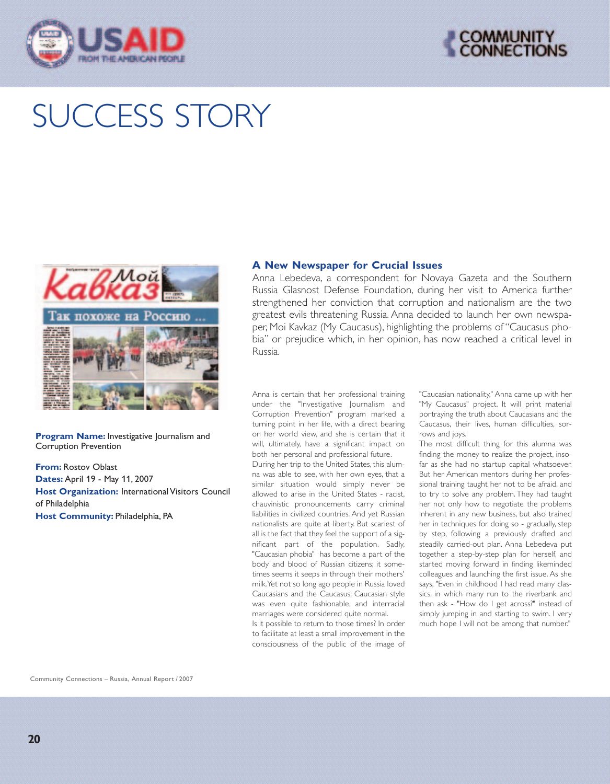



## SUCCESS STORY



**Program Name:** Investigative Journalism and Corruption Prevention

**From:** Rostov Oblast **Dates:** April 19 - May 11, 2007 **Host Organization:** International Visitors Council of Philadelphia **Host Community:** Philadelphia, PA

## **A New Newspaper for Crucial Issues**

Anna Lebedeva, a correspondent for Novaya Gazeta and the Southern Russia Glasnost Defense Foundation, during her visit to America further strengthened her conviction that corruption and nationalism are the two greatest evils threatening Russia. Anna decided to launch her own newspaper, Moi Kavkaz (My Caucasus), highlighting the problems of"Caucasus phobia" or prejudice which, in her opinion, has now reached a critical level in Russia.

Anna is certain that her professional training under the "Investigative Journalism and Corruption Prevention" program marked a turning point in her life, with a direct bearing on her world view, and she is certain that it will, ultimately, have a significant impact on both her personal and professional future. During her trip to the United States, this alumna was able to see, with her own eyes, that a similar situation would simply never be allowed to arise in the United States - racist, chauvinistic pronouncements carry criminal liabilities in civilized countries. And yet Russian nationalists are quite at liberty. But scariest of all is the fact that they feel the support of a significant part of the population. Sadly, "Caucasian phobia" has become a part of the body and blood of Russian citizens; it sometimes seems it seeps in through their mothers' milk.Yet not so long ago people in Russia loved Caucasians and the Caucasus; Caucasian style was even quite fashionable, and interracial marriages were considered quite normal. Is it possible to return to those times? In order

to facilitate at least a small improvement in the consciousness of the public of the image of "Caucasian nationality," Anna came up with her "My Caucasus" project. It will print material portraying the truth about Caucasians and the Caucasus, their lives, human difficulties, sorrows and joys.

The most difficult thing for this alumna was finding the money to realize the project, insofar as she had no startup capital whatsoever. But her American mentors during her professional training taught her not to be afraid, and to try to solve any problem. They had taught her not only how to negotiate the problems inherent in any new business, but also trained her in techniques for doing so - gradually, step by step, following a previously drafted and steadily carried-out plan. Anna Lebedeva put together a step-by-step plan for herself, and started moving forward in finding likeminded colleagues and launching the first issue. As she says, "Even in childhood I had read many classics, in which many run to the riverbank and then ask - "How do I get across?" instead of simply jumping in and starting to swim. I very much hope I will not be among that number."